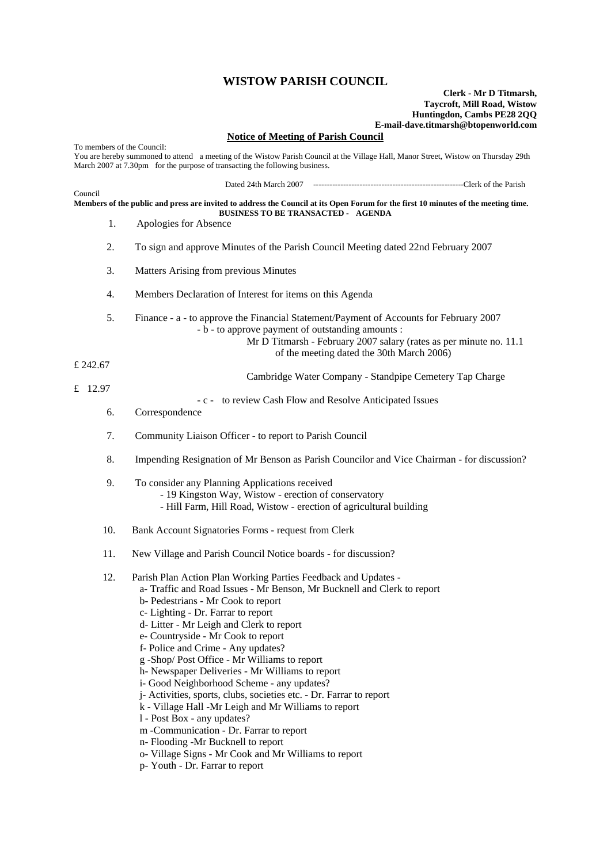## **WISTOW PARISH COUNCIL**

## **Clerk - Mr D Titmarsh, Taycroft, Mill Road, Wistow Huntingdon, Cambs PE28 2QQ E-mail-dave.titmarsh@btopenworld.com**

## **Notice of Meeting of Parish Council**

To members of the Council: You are hereby summoned to attend a meeting of the Wistow Parish Council at the Village Hall, Manor Street, Wistow on Thursday 29th March 2007 at 7.30pm for the purpose of transacting the following business. Dated 24th March 2007 -------------------------------------------------------Clerk of the Parish Council **Members of the public and press are invited to address the Council at its Open Forum for the first 10 minutes of the meeting time. BUSINESS TO BE TRANSACTED - AGENDA**  1. Apologies for Absence 2. To sign and approve Minutes of the Parish Council Meeting dated 22nd February 2007 3. Matters Arising from previous Minutes 4. Members Declaration of Interest for items on this Agenda 5. Finance - a - to approve the Financial Statement/Payment of Accounts for February 2007 - b - to approve payment of outstanding amounts : Mr D Titmarsh - February 2007 salary (rates as per minute no. 11.1 of the meeting dated the 30th March 2006) £ 242.67 Cambridge Water Company - Standpipe Cemetery Tap Charge £ 12.97 - c - to review Cash Flow and Resolve Anticipated Issues 6. Correspondence 7. Community Liaison Officer - to report to Parish Council 8. Impending Resignation of Mr Benson as Parish Councilor and Vice Chairman - for discussion? 9. To consider any Planning Applications received - 19 Kingston Way, Wistow - erection of conservatory - Hill Farm, Hill Road, Wistow - erection of agricultural building 10. Bank Account Signatories Forms - request from Clerk 11. New Village and Parish Council Notice boards - for discussion? 12. Parish Plan Action Plan Working Parties Feedback and Updates a- Traffic and Road Issues - Mr Benson, Mr Bucknell and Clerk to report b- Pedestrians - Mr Cook to report c- Lighting - Dr. Farrar to report d- Litter - Mr Leigh and Clerk to report e- Countryside - Mr Cook to report f- Police and Crime - Any updates? g -Shop/ Post Office - Mr Williams to report h- Newspaper Deliveries - Mr Williams to report i- Good Neighborhood Scheme - any updates? j- Activities, sports, clubs, societies etc. - Dr. Farrar to report k - Village Hall -Mr Leigh and Mr Williams to report l - Post Box - any updates? m -Communication - Dr. Farrar to report n- Flooding -Mr Bucknell to report o- Village Signs - Mr Cook and Mr Williams to report

p- Youth - Dr. Farrar to report